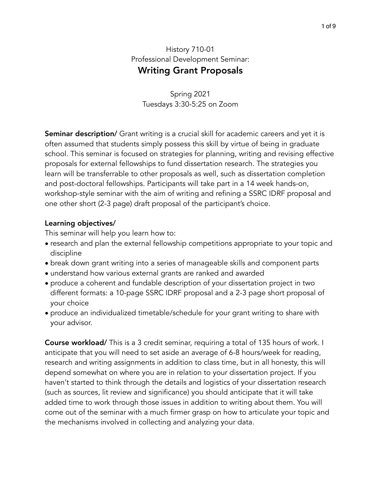## History 710-01 Professional Development Seminar: Writing Grant Proposals

Spring 2021 Tuesdays 3:30-5:25 on Zoom

**Seminar description/** Grant writing is a crucial skill for academic careers and yet it is often assumed that students simply possess this skill by virtue of being in graduate school. This seminar is focused on strategies for planning, writing and revising effective proposals for external fellowships to fund dissertation research. The strategies you learn will be transferrable to other proposals as well, such as dissertation completion and post-doctoral fellowships. Participants will take part in a 14 week hands-on, workshop-style seminar with the aim of writing and refining a SSRC IDRF proposal and one other short (2-3 page) draft proposal of the participant's choice.

## Learning objectives/

This seminar will help you learn how to:

- research and plan the external fellowship competitions appropriate to your topic and discipline
- break down grant writing into a series of manageable skills and component parts
- understand how various external grants are ranked and awarded
- produce a coherent and fundable description of your dissertation project in two different formats: a 10-page SSRC IDRF proposal and a 2-3 page short proposal of your choice
- produce an individualized timetable/schedule for your grant writing to share with your advisor.

Course workload/ This is a 3 credit seminar, requiring a total of 135 hours of work. I anticipate that you will need to set aside an average of 6-8 hours/week for reading, research and writing assignments in addition to class time, but in all honesty, this will depend somewhat on where you are in relation to your dissertation project. If you haven't started to think through the details and logistics of your dissertation research (such as sources, lit review and significance) you should anticipate that it will take added time to work through those issues in addition to writing about them. You will come out of the seminar with a much firmer grasp on how to articulate your topic and the mechanisms involved in collecting and analyzing your data.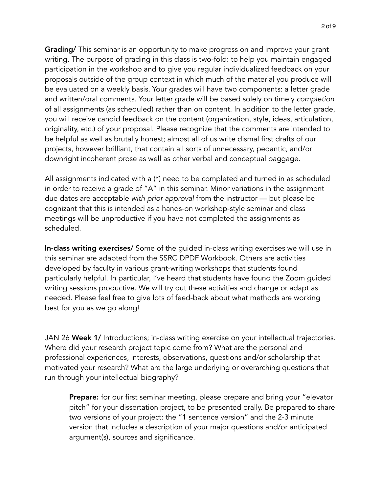**Grading/** This seminar is an opportunity to make progress on and improve your grant writing. The purpose of grading in this class is two-fold: to help you maintain engaged participation in the workshop and to give you regular individualized feedback on your proposals outside of the group context in which much of the material you produce will be evaluated on a weekly basis. Your grades will have two components: a letter grade and written/oral comments. Your letter grade will be based solely on timely *completion* of all assignments (as scheduled) rather than on content. In addition to the letter grade, you will receive candid feedback on the content (organization, style, ideas, articulation, originality, etc.) of your proposal. Please recognize that the comments are intended to be helpful as well as brutally honest; almost all of us write dismal first drafts of our projects, however brilliant, that contain all sorts of unnecessary, pedantic, and/or downright incoherent prose as well as other verbal and conceptual baggage.

All assignments indicated with a (\*) need to be completed and turned in as scheduled in order to receive a grade of "A" in this seminar. Minor variations in the assignment due dates are acceptable *with prior approval* from the instructor — but please be cognizant that this is intended as a hands-on workshop-style seminar and class meetings will be unproductive if you have not completed the assignments as scheduled.

In-class writing exercises/ Some of the guided in-class writing exercises we will use in this seminar are adapted from the SSRC DPDF Workbook. Others are activities developed by faculty in various grant-writing workshops that students found particularly helpful. In particular, I've heard that students have found the Zoom guided writing sessions productive. We will try out these activities and change or adapt as needed. Please feel free to give lots of feed-back about what methods are working best for you as we go along!

JAN 26 Week 1/ Introductions; in-class writing exercise on your intellectual trajectories. Where did your research project topic come from? What are the personal and professional experiences, interests, observations, questions and/or scholarship that motivated your research? What are the large underlying or overarching questions that run through your intellectual biography?

**Prepare:** for our first seminar meeting, please prepare and bring your "elevator" pitch" for your dissertation project, to be presented orally. Be prepared to share two versions of your project: the "1 sentence version" and the 2-3 minute version that includes a description of your major questions and/or anticipated argument(s), sources and significance.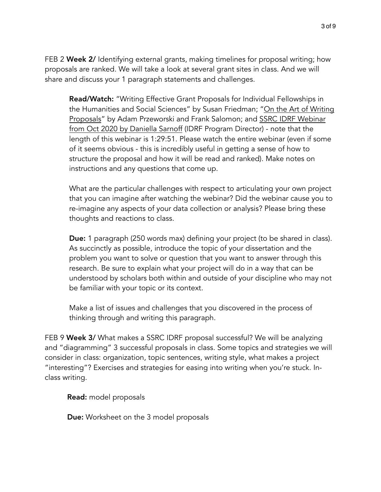FEB 2 Week 2/ Identifying external grants, making timelines for proposal writing; how proposals are ranked. We will take a look at several grant sites in class. And we will share and discuss your 1 paragraph statements and challenges.

Read/Watch: "Writing Effective Grant Proposals for Individual Fellowships in the Humanities and Social Sciences" by Susan Friedman; ["On the Art of Writing](https://www.ssrc.org/publications/view/7A9CB4F4-815F-DE11-BD80-001CC477EC70/)  [Proposals"](https://www.ssrc.org/publications/view/7A9CB4F4-815F-DE11-BD80-001CC477EC70/) by Adam Przeworski and Frank Salomon; and [SSRC IDRF Webinar](https://www.youtube.com/watch?v=Pz_CRNo0hdY&feature=youtu.be)  [from Oct 2020 by Daniella Sarnoff](https://www.youtube.com/watch?v=Pz_CRNo0hdY&feature=youtu.be) (IDRF Program Director) - note that the length of this webinar is 1:29:51. Please watch the entire webinar (even if some of it seems obvious - this is incredibly useful in getting a sense of how to structure the proposal and how it will be read and ranked). Make notes on instructions and any questions that come up.

What are the particular challenges with respect to articulating your own project that you can imagine after watching the webinar? Did the webinar cause you to re-imagine any aspects of your data collection or analysis? Please bring these thoughts and reactions to class.

Due: 1 paragraph (250 words max) defining your project (to be shared in class). As succinctly as possible, introduce the topic of your dissertation and the problem you want to solve or question that you want to answer through this research. Be sure to explain what your project will do in a way that can be understood by scholars both within and outside of your discipline who may not be familiar with your topic or its context.

Make a list of issues and challenges that you discovered in the process of thinking through and writing this paragraph.

FEB 9 Week 3/ What makes a SSRC IDRF proposal successful? We will be analyzing and "diagramming" 3 successful proposals in class. Some topics and strategies we will consider in class: organization, topic sentences, writing style, what makes a project "interesting"? Exercises and strategies for easing into writing when you're stuck. Inclass writing.

Read: model proposals

**Due:** Worksheet on the 3 model proposals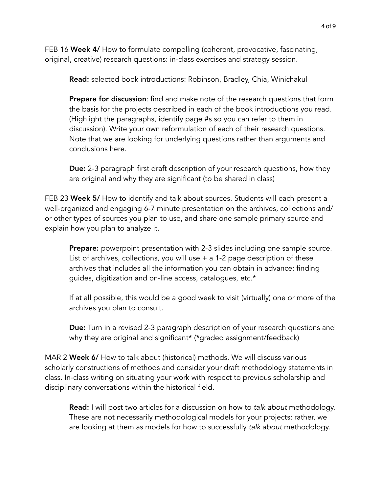FEB 16 Week 4/ How to formulate compelling (coherent, provocative, fascinating, original, creative) research questions: in-class exercises and strategy session.

Read: selected book introductions: Robinson, Bradley, Chia, Winichakul

**Prepare for discussion:** find and make note of the research questions that form the basis for the projects described in each of the book introductions you read. (Highlight the paragraphs, identify page #s so you can refer to them in discussion). Write your own reformulation of each of their research questions. Note that we are looking for underlying questions rather than arguments and conclusions here.

**Due:** 2-3 paragraph first draft description of your research questions, how they are original and why they are significant (to be shared in class)

FEB 23 Week 5/ How to identify and talk about sources. Students will each present a well-organized and engaging 6-7 minute presentation on the archives, collections and/ or other types of sources you plan to use, and share one sample primary source and explain how you plan to analyze it.

**Prepare:** powerpoint presentation with 2-3 slides including one sample source. List of archives, collections, you will use + a 1-2 page description of these archives that includes all the information you can obtain in advance: finding guides, digitization and on-line access, catalogues, etc.\*

If at all possible, this would be a good week to visit (virtually) one or more of the archives you plan to consult.

**Due:** Turn in a revised 2-3 paragraph description of your research questions and why they are original and significant\* (\*graded assignment/feedback)

MAR 2 Week 6/ How to talk about (historical) methods. We will discuss various scholarly constructions of methods and consider your draft methodology statements in class. In-class writing on situating your work with respect to previous scholarship and disciplinary conversations within the historical field.

Read: I will post two articles for a discussion on how to *talk about* methodology. These are not necessarily methodological models for your projects; rather, we are looking at them as models for how to successfully *talk about* methodology.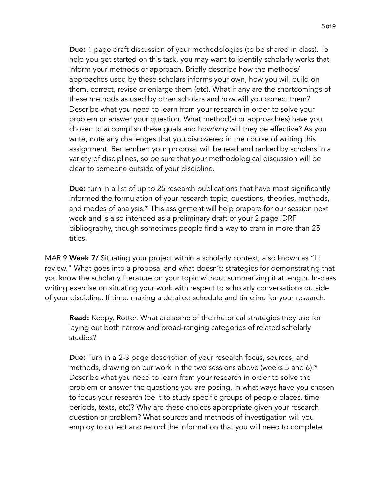Due: 1 page draft discussion of your methodologies (to be shared in class). To help you get started on this task, you may want to identify scholarly works that inform your methods or approach. Briefly describe how the methods/ approaches used by these scholars informs your own, how you will build on them, correct, revise or enlarge them (etc). What if any are the shortcomings of these methods as used by other scholars and how will you correct them? Describe what you need to learn from your research in order to solve your problem or answer your question. What method(s) or approach(es) have you chosen to accomplish these goals and how/why will they be effective? As you write, note any challenges that you discovered in the course of writing this assignment. Remember: your proposal will be read and ranked by scholars in a variety of disciplines, so be sure that your methodological discussion will be clear to someone outside of your discipline.

**Due:** turn in a list of up to 25 research publications that have most significantly informed the formulation of your research topic, questions, theories, methods, and modes of analysis.\* This assignment will help prepare for our session next week and is also intended as a preliminary draft of your 2 page IDRF bibliography, though sometimes people find a way to cram in more than 25 titles.

MAR 9 Week 7/ Situating your project within a scholarly context, also known as "lit review." What goes into a proposal and what doesn't; strategies for demonstrating that you know the scholarly literature on your topic without summarizing it at length. In-class writing exercise on situating your work with respect to scholarly conversations outside of your discipline. If time: making a detailed schedule and timeline for your research.

Read: Keppy, Rotter. What are some of the rhetorical strategies they use for laying out both narrow and broad-ranging categories of related scholarly studies?

Due: Turn in a 2-3 page description of your research focus, sources, and methods, drawing on our work in the two sessions above (weeks 5 and 6).\* Describe what you need to learn from your research in order to solve the problem or answer the questions you are posing. In what ways have you chosen to focus your research (be it to study specific groups of people places, time periods, texts, etc)? Why are these choices appropriate given your research question or problem? What sources and methods of investigation will you employ to collect and record the information that you will need to complete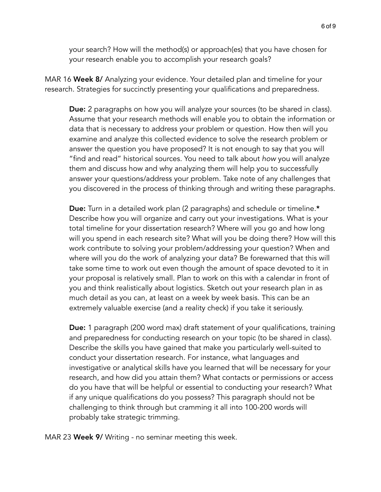your search? How will the method(s) or approach(es) that you have chosen for your research enable you to accomplish your research goals?

MAR 16 Week 8/ Analyzing your evidence. Your detailed plan and timeline for your research. Strategies for succinctly presenting your qualifications and preparedness.

**Due:** 2 paragraphs on how you will analyze your sources (to be shared in class). Assume that your research methods will enable you to obtain the information or data that is necessary to address your problem or question. How then will you examine and analyze this collected evidence to solve the research problem or answer the question you have proposed? It is not enough to say that you will "find and read" historical sources. You need to talk about *how* you will analyze them and discuss how and why analyzing them will help you to successfully answer your questions/address your problem. Take note of any challenges that you discovered in the process of thinking through and writing these paragraphs.

Due: Turn in a detailed work plan (2 paragraphs) and schedule or timeline.\* Describe how you will organize and carry out your investigations. What is your total timeline for your dissertation research? Where will you go and how long will you spend in each research site? What will you be doing there? How will this work contribute to solving your problem/addressing your question? When and where will you do the work of analyzing your data? Be forewarned that this will take some time to work out even though the amount of space devoted to it in your proposal is relatively small. Plan to work on this with a calendar in front of you and think realistically about logistics. Sketch out your research plan in as much detail as you can, at least on a week by week basis. This can be an extremely valuable exercise (and a reality check) if you take it seriously.

**Due:** 1 paragraph (200 word max) draft statement of your qualifications, training and preparedness for conducting research on your topic (to be shared in class). Describe the skills you have gained that make you particularly well-suited to conduct your dissertation research. For instance, what languages and investigative or analytical skills have you learned that will be necessary for your research, and how did you attain them? What contacts or permissions or access do you have that will be helpful or essential to conducting your research? What if any unique qualifications do you possess? This paragraph should not be challenging to think through but cramming it all into 100-200 words will probably take strategic trimming.

MAR 23 Week 9/ Writing - no seminar meeting this week.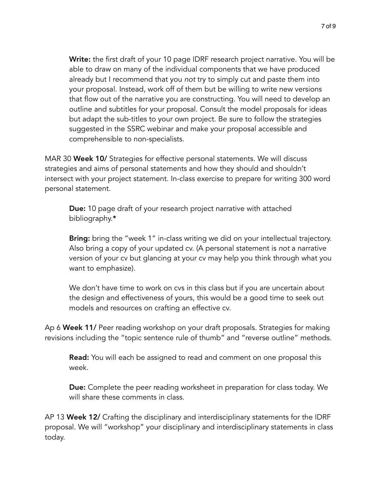Write: the first draft of your 10 page IDRF research project narrative. You will be able to draw on many of the individual components that we have produced already but I recommend that you *not* try to simply cut and paste them into your proposal. Instead, work off of them but be willing to write new versions that flow out of the narrative you are constructing. You will need to develop an outline and subtitles for your proposal. Consult the model proposals for ideas but adapt the sub-titles to your own project. Be sure to follow the strategies suggested in the SSRC webinar and make your proposal accessible and comprehensible to non-specialists.

MAR 30 Week 10/ Strategies for effective personal statements. We will discuss strategies and aims of personal statements and how they should and shouldn't intersect with your project statement. In-class exercise to prepare for writing 300 word personal statement.

**Due:** 10 page draft of your research project narrative with attached bibliography.\*

**Bring:** bring the "week 1" in-class writing we did on your intellectual trajectory. Also bring a copy of your updated cv. (A personal statement is *not* a narrative version of your cv but glancing at your cv may help you think through what you want to emphasize).

We don't have time to work on cvs in this class but if you are uncertain about the design and effectiveness of yours, this would be a good time to seek out models and resources on crafting an effective cv.

Ap 6 Week 11/ Peer reading workshop on your draft proposals. Strategies for making revisions including the "topic sentence rule of thumb" and "reverse outline" methods.

**Read:** You will each be assigned to read and comment on one proposal this week.

**Due:** Complete the peer reading worksheet in preparation for class today. We will share these comments in class.

AP 13 Week 12/ Crafting the disciplinary and interdisciplinary statements for the IDRF proposal. We will "workshop" your disciplinary and interdisciplinary statements in class today.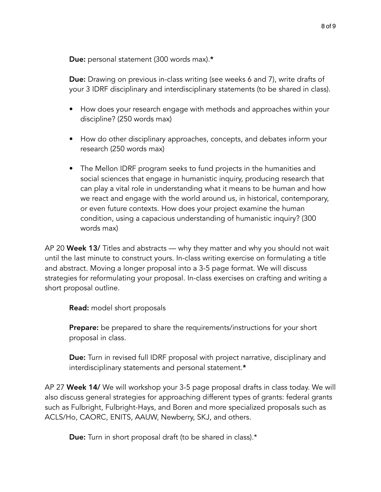Due: personal statement (300 words max).\*

Due: Drawing on previous in-class writing (see weeks 6 and 7), write drafts of your 3 IDRF disciplinary and interdisciplinary statements (to be shared in class).

- How does your research engage with methods and approaches within your discipline? (250 words max)
- How do other disciplinary approaches, concepts, and debates inform your research (250 words max)
- The Mellon IDRF program seeks to fund projects in the humanities and social sciences that engage in humanistic inquiry, producing research that can play a vital role in understanding what it means to be human and how we react and engage with the world around us, in historical, contemporary, or even future contexts. How does your project examine the human condition, using a capacious understanding of humanistic inquiry? (300 words max)

AP 20 Week 13/ Titles and abstracts — why they matter and why you should not wait until the last minute to construct yours. In-class writing exercise on formulating a title and abstract. Moving a longer proposal into a 3-5 page format. We will discuss strategies for reformulating your proposal. In-class exercises on crafting and writing a short proposal outline.

Read: model short proposals

**Prepare:** be prepared to share the requirements/instructions for your short proposal in class.

**Due:** Turn in revised full IDRF proposal with project narrative, disciplinary and interdisciplinary statements and personal statement.\*

AP 27 Week 14/ We will workshop your 3-5 page proposal drafts in class today. We will also discuss general strategies for approaching different types of grants: federal grants such as Fulbright, Fulbright-Hays, and Boren and more specialized proposals such as ACLS/Ho, CAORC, ENITS, AAUW, Newberry, SKJ, and others.

Due: Turn in short proposal draft (to be shared in class).\*